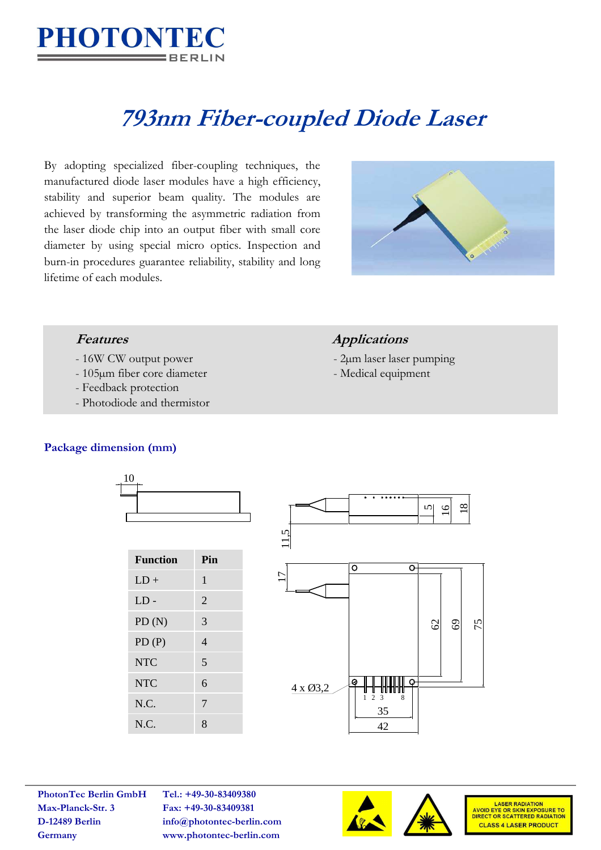

# **793nm Fiber-coupled Diode Laser**

By adopting specialized fiber-coupling techniques, the manufactured diode laser modules have a high efficiency, stability and superior beam quality. The modules are achieved by transforming the asymmetric radiation from the laser diode chip into an output fiber with small core diameter by using special micro optics. Inspection and burn-in procedures guarantee reliability, stability and long lifetime of each modules.



- 16W CW output power 2µm laser laser pumping
- 105µm fiber core diameter Medical equipment
- Feedback protection
- Photodiode and thermistor

# **Features Applications**

- 
- 

## **Package dimension (mm)**





**Max-Planck-Str. 3 Fax: +49-30-83409381**

**PhotonTec Berlin GmbH Tel.: +49-30-83409380 D-12489 Berlin info@photontec-berlin.com Germany www.photontec-berlin.com**





LASER RADIATION<br>AVOID EYE OR SKIN EXPOSURE TO<br>DIRECT OR SCATTERED RADIATION **CLASS 4 LASER PRODUCT**